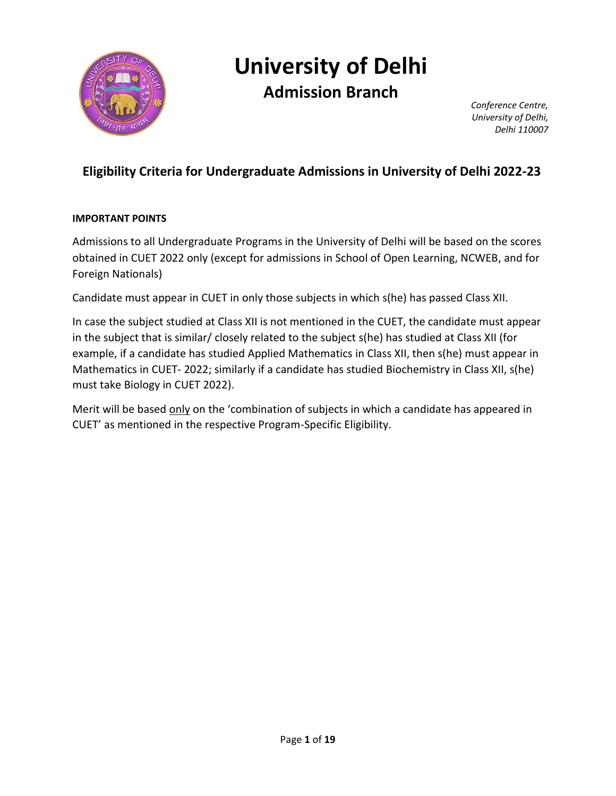

# **University of Delhi**

**Admission Branch**

*Conference Centre, University of Delhi, Delhi 110007*

# **Eligibility Criteria for Undergraduate Admissions in University of Delhi 2022-23**

### **IMPORTANT POINTS**

Admissions to all Undergraduate Programs in the University of Delhi will be based on the scores obtained in CUET 2022 only (except for admissions in School of Open Learning, NCWEB, and for Foreign Nationals)

Candidate must appear in CUET in only those subjects in which s(he) has passed Class XII.

In case the subject studied at Class XII is not mentioned in the CUET, the candidate must appear in the subject that is similar/ closely related to the subject s(he) has studied at Class XII (for example, if a candidate has studied Applied Mathematics in Class XII, then s(he) must appear in Mathematics in CUET- 2022; similarly if a candidate has studied Biochemistry in Class XII, s(he) must take Biology in CUET 2022).

Merit will be based only on the 'combination of subjects in which a candidate has appeared in CUET' as mentioned in the respective Program-Specific Eligibility.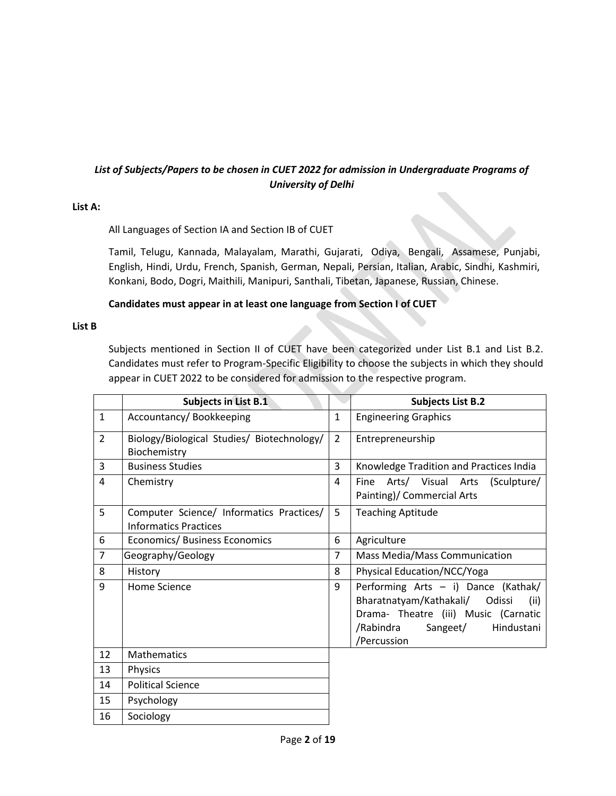### *List of Subjects/Papers to be chosen in CUET 2022 for admission in Undergraduate Programs of University of Delhi*

### **List A:**

### All Languages of Section IA and Section IB of CUET

Tamil, Telugu, Kannada, Malayalam, Marathi, Gujarati, Odiya, Bengali, Assamese, Punjabi, English, Hindi, Urdu, French, Spanish, German, Nepali, Persian, Italian, Arabic, Sindhi, Kashmiri, Konkani, Bodo, Dogri, Maithili, Manipuri, Santhali, Tibetan, Japanese, Russian, Chinese.

### **Candidates must appear in at least one language from Section I of CUET**

#### **List B**

Subjects mentioned in Section II of CUET have been categorized under List B.1 and List B.2. Candidates must refer to Program-Specific Eligibility to choose the subjects in which they should appear in CUET 2022 to be considered for admission to the respective program.

|                | <b>Subjects in List B.1</b>                                              |                | <b>Subjects List B.2</b>                                                                                                                                                    |
|----------------|--------------------------------------------------------------------------|----------------|-----------------------------------------------------------------------------------------------------------------------------------------------------------------------------|
| $\mathbf{1}$   | Accountancy/Bookkeeping                                                  | $\mathbf{1}$   | <b>Engineering Graphics</b>                                                                                                                                                 |
| $\overline{2}$ | Biology/Biological Studies/ Biotechnology/<br>Biochemistry               | $\overline{2}$ | Entrepreneurship                                                                                                                                                            |
| 3              | <b>Business Studies</b>                                                  | 3              | Knowledge Tradition and Practices India                                                                                                                                     |
| 4              | Chemistry                                                                | 4              | Arts/ Visual Arts<br>Fine<br>(Sculpture/<br>Painting)/ Commercial Arts                                                                                                      |
| 5              | Computer Science/ Informatics Practices/<br><b>Informatics Practices</b> | 5              | <b>Teaching Aptitude</b>                                                                                                                                                    |
| 6              | Economics/ Business Economics                                            | 6              | Agriculture                                                                                                                                                                 |
| $\overline{7}$ | Geography/Geology                                                        | $\overline{7}$ | Mass Media/Mass Communication                                                                                                                                               |
| 8              | History                                                                  | 8              | Physical Education/NCC/Yoga                                                                                                                                                 |
| 9              | Home Science                                                             | 9              | Performing Arts - i) Dance (Kathak/<br>Bharatnatyam/Kathakali/ Odissi<br>(ii)<br>Drama- Theatre (iii) Music (Carnatic<br>/Rabindra<br>Sangeet/<br>Hindustani<br>/Percussion |
| 12             | <b>Mathematics</b>                                                       |                |                                                                                                                                                                             |
| 13             | Physics                                                                  |                |                                                                                                                                                                             |
| 14             | <b>Political Science</b>                                                 |                |                                                                                                                                                                             |
| 15             | Psychology                                                               |                |                                                                                                                                                                             |
| 16             | Sociology                                                                |                |                                                                                                                                                                             |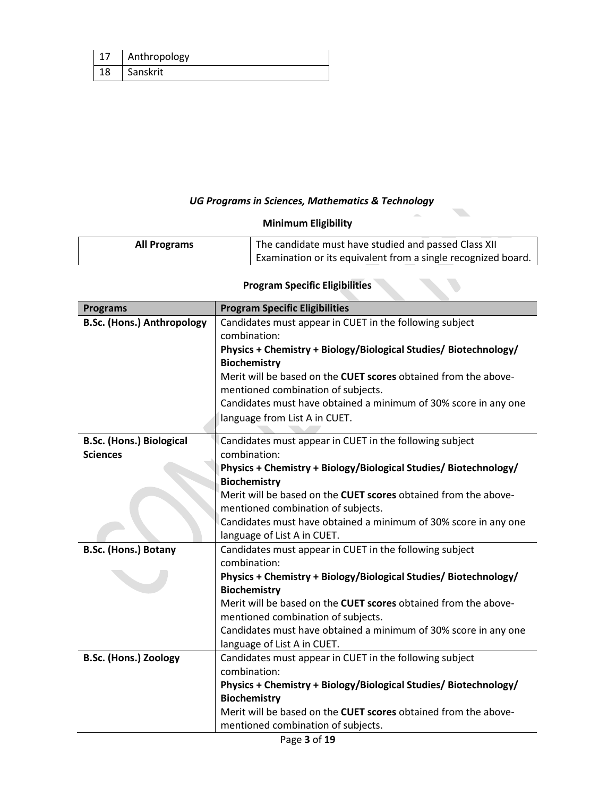|    | Anthropology |
|----|--------------|
| 18 | Sanskrit     |

# *UG Programs in Sciences, Mathematics & Technology*

# **Minimum Eligibility**

| <b>All Programs</b> | The candidate must have studied and passed Class XII          |
|---------------------|---------------------------------------------------------------|
|                     | Examination or its equivalent from a single recognized board. |

# **Program Specific Eligibilities**

| <b>Programs</b>                   | <b>Program Specific Eligibilities</b>                                  |
|-----------------------------------|------------------------------------------------------------------------|
| <b>B.Sc. (Hons.) Anthropology</b> | Candidates must appear in CUET in the following subject                |
|                                   | combination:                                                           |
|                                   | Physics + Chemistry + Biology/Biological Studies/ Biotechnology/       |
|                                   | <b>Biochemistry</b>                                                    |
|                                   | Merit will be based on the CUET scores obtained from the above-        |
|                                   | mentioned combination of subjects.                                     |
|                                   | Candidates must have obtained a minimum of 30% score in any one        |
|                                   | language from List A in CUET.                                          |
|                                   |                                                                        |
| <b>B.Sc. (Hons.) Biological</b>   | Candidates must appear in CUET in the following subject                |
| <b>Sciences</b>                   | combination:                                                           |
|                                   | Physics + Chemistry + Biology/Biological Studies/ Biotechnology/       |
|                                   | <b>Biochemistry</b>                                                    |
|                                   | Merit will be based on the CUET scores obtained from the above-        |
|                                   | mentioned combination of subjects.                                     |
|                                   | Candidates must have obtained a minimum of 30% score in any one        |
|                                   | language of List A in CUET.                                            |
| <b>B.Sc. (Hons.) Botany</b>       | Candidates must appear in CUET in the following subject                |
|                                   | combination:                                                           |
|                                   | Physics + Chemistry + Biology/Biological Studies/ Biotechnology/       |
|                                   | <b>Biochemistry</b>                                                    |
|                                   | Merit will be based on the CUET scores obtained from the above-        |
|                                   | mentioned combination of subjects.                                     |
|                                   | Candidates must have obtained a minimum of 30% score in any one        |
|                                   | language of List A in CUET.                                            |
| <b>B.Sc. (Hons.) Zoology</b>      | Candidates must appear in CUET in the following subject                |
|                                   | combination:                                                           |
|                                   | Physics + Chemistry + Biology/Biological Studies/ Biotechnology/       |
|                                   | <b>Biochemistry</b>                                                    |
|                                   | Merit will be based on the <b>CUET scores</b> obtained from the above- |
|                                   | mentioned combination of subjects.                                     |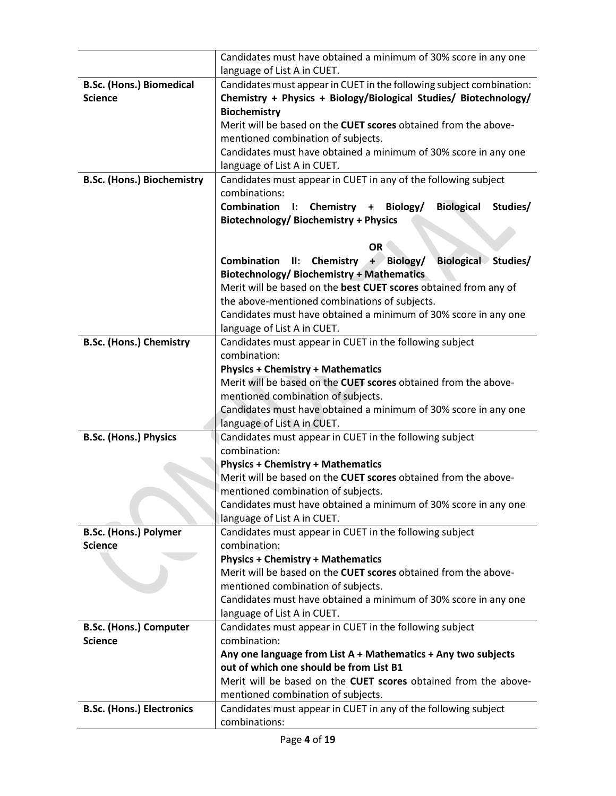|                                   | Candidates must have obtained a minimum of 30% score in any one                |  |
|-----------------------------------|--------------------------------------------------------------------------------|--|
|                                   | language of List A in CUET.                                                    |  |
| <b>B.Sc. (Hons.) Biomedical</b>   | Candidates must appear in CUET in the following subject combination:           |  |
| <b>Science</b>                    | Chemistry + Physics + Biology/Biological Studies/ Biotechnology/               |  |
|                                   | <b>Biochemistry</b>                                                            |  |
|                                   | Merit will be based on the <b>CUET scores</b> obtained from the above-         |  |
|                                   | mentioned combination of subjects.                                             |  |
|                                   | Candidates must have obtained a minimum of 30% score in any one                |  |
|                                   | language of List A in CUET.                                                    |  |
| <b>B.Sc. (Hons.) Biochemistry</b> | Candidates must appear in CUET in any of the following subject                 |  |
|                                   | combinations:                                                                  |  |
|                                   | <b>Combination</b><br><b>Biological</b><br>I: Chemistry + Biology/<br>Studies/ |  |
|                                   | Biotechnology/Biochemistry + Physics                                           |  |
|                                   |                                                                                |  |
|                                   | <b>OR</b>                                                                      |  |
|                                   | <b>Biological Studies/</b><br><b>Combination</b><br>II: Chemistry $+$ Biology/ |  |
|                                   | <b>Biotechnology/Biochemistry + Mathematics</b>                                |  |
|                                   | Merit will be based on the best CUET scores obtained from any of               |  |
|                                   | the above-mentioned combinations of subjects.                                  |  |
|                                   | Candidates must have obtained a minimum of 30% score in any one                |  |
|                                   | language of List A in CUET.                                                    |  |
| <b>B.Sc. (Hons.) Chemistry</b>    | Candidates must appear in CUET in the following subject<br>combination:        |  |
|                                   | <b>Physics + Chemistry + Mathematics</b>                                       |  |
|                                   | Merit will be based on the CUET scores obtained from the above-                |  |
|                                   | mentioned combination of subjects.                                             |  |
|                                   | Candidates must have obtained a minimum of 30% score in any one                |  |
|                                   | language of List A in CUET.                                                    |  |
| <b>B.Sc. (Hons.) Physics</b>      | Candidates must appear in CUET in the following subject                        |  |
|                                   | combination:                                                                   |  |
|                                   | <b>Physics + Chemistry + Mathematics</b>                                       |  |
|                                   | Merit will be based on the CUET scores obtained from the above-                |  |
|                                   | mentioned combination of subjects.                                             |  |
|                                   | Candidates must have obtained a minimum of 30% score in any one                |  |
|                                   | language of List A in CUET.                                                    |  |
| <b>B.Sc. (Hons.) Polymer</b>      | Candidates must appear in CUET in the following subject                        |  |
| <b>Science</b>                    | combination:                                                                   |  |
|                                   | <b>Physics + Chemistry + Mathematics</b>                                       |  |
|                                   | Merit will be based on the CUET scores obtained from the above-                |  |
|                                   | mentioned combination of subjects.                                             |  |
|                                   | Candidates must have obtained a minimum of 30% score in any one                |  |
|                                   | language of List A in CUET.                                                    |  |
| <b>B.Sc. (Hons.) Computer</b>     | Candidates must appear in CUET in the following subject                        |  |
| <b>Science</b>                    | combination:                                                                   |  |
|                                   | Any one language from List A + Mathematics + Any two subjects                  |  |
|                                   | out of which one should be from List B1                                        |  |
|                                   | Merit will be based on the CUET scores obtained from the above-                |  |
|                                   | mentioned combination of subjects.                                             |  |
| <b>B.Sc. (Hons.) Electronics</b>  | Candidates must appear in CUET in any of the following subject                 |  |
|                                   | combinations:                                                                  |  |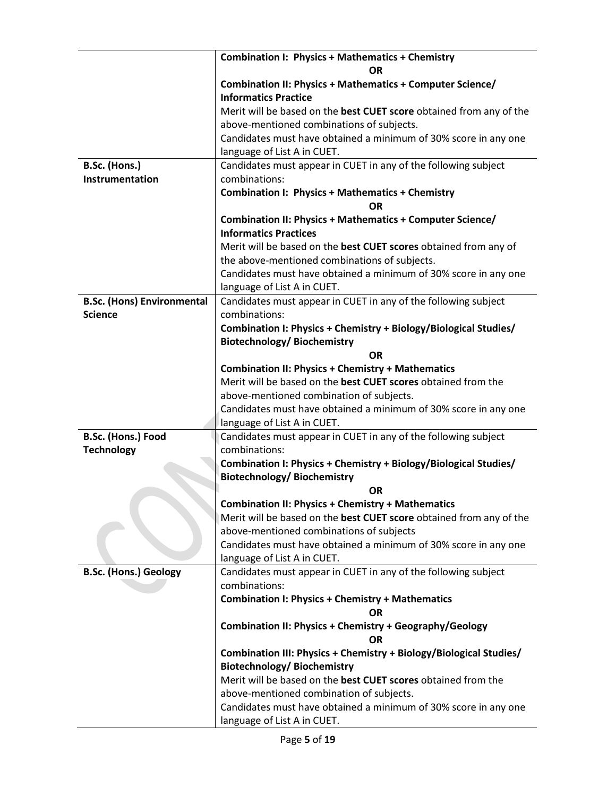|                                   | <b>Combination I: Physics + Mathematics + Chemistry</b><br><b>OR</b>                                                      |
|-----------------------------------|---------------------------------------------------------------------------------------------------------------------------|
|                                   | <b>Combination II: Physics + Mathematics + Computer Science/</b>                                                          |
|                                   | <b>Informatics Practice</b>                                                                                               |
|                                   | Merit will be based on the best CUET score obtained from any of the                                                       |
|                                   | above-mentioned combinations of subjects.                                                                                 |
|                                   | Candidates must have obtained a minimum of 30% score in any one                                                           |
|                                   | language of List A in CUET.                                                                                               |
| B.Sc. (Hons.)                     | Candidates must appear in CUET in any of the following subject                                                            |
| Instrumentation                   | combinations:                                                                                                             |
|                                   | <b>Combination I: Physics + Mathematics + Chemistry</b>                                                                   |
|                                   | <b>OR</b>                                                                                                                 |
|                                   | <b>Combination II: Physics + Mathematics + Computer Science/</b>                                                          |
|                                   | <b>Informatics Practices</b>                                                                                              |
|                                   | Merit will be based on the best CUET scores obtained from any of                                                          |
|                                   | the above-mentioned combinations of subjects.                                                                             |
|                                   | Candidates must have obtained a minimum of 30% score in any one                                                           |
|                                   | language of List A in CUET.                                                                                               |
| <b>B.Sc. (Hons) Environmental</b> | Candidates must appear in CUET in any of the following subject                                                            |
| <b>Science</b>                    | combinations:                                                                                                             |
|                                   | Combination I: Physics + Chemistry + Biology/Biological Studies/                                                          |
|                                   | <b>Biotechnology/Biochemistry</b>                                                                                         |
|                                   | <b>OR</b>                                                                                                                 |
|                                   | <b>Combination II: Physics + Chemistry + Mathematics</b><br>Merit will be based on the best CUET scores obtained from the |
|                                   |                                                                                                                           |
|                                   | above-mentioned combination of subjects.<br>Candidates must have obtained a minimum of 30% score in any one               |
|                                   | language of List A in CUET.                                                                                               |
| B.Sc. (Hons.) Food                | Candidates must appear in CUET in any of the following subject                                                            |
| <b>Technology</b>                 | combinations:                                                                                                             |
|                                   | Combination I: Physics + Chemistry + Biology/Biological Studies/                                                          |
|                                   | <b>Biotechnology/Biochemistry</b>                                                                                         |
|                                   | <b>OR</b>                                                                                                                 |
|                                   | <b>Combination II: Physics + Chemistry + Mathematics</b>                                                                  |
|                                   | Merit will be based on the best CUET score obtained from any of the                                                       |
|                                   | above-mentioned combinations of subjects                                                                                  |
|                                   | Candidates must have obtained a minimum of 30% score in any one                                                           |
|                                   | language of List A in CUET.                                                                                               |
| <b>B.Sc. (Hons.) Geology</b>      | Candidates must appear in CUET in any of the following subject                                                            |
|                                   | combinations:                                                                                                             |
|                                   | <b>Combination I: Physics + Chemistry + Mathematics</b>                                                                   |
|                                   | <b>OR</b>                                                                                                                 |
|                                   | Combination II: Physics + Chemistry + Geography/Geology                                                                   |
|                                   | OR                                                                                                                        |
|                                   | Combination III: Physics + Chemistry + Biology/Biological Studies/                                                        |
|                                   | <b>Biotechnology/Biochemistry</b><br>Merit will be based on the best CUET scores obtained from the                        |
|                                   | above-mentioned combination of subjects.                                                                                  |
|                                   | Candidates must have obtained a minimum of 30% score in any one                                                           |
|                                   | language of List A in CUET.                                                                                               |
|                                   |                                                                                                                           |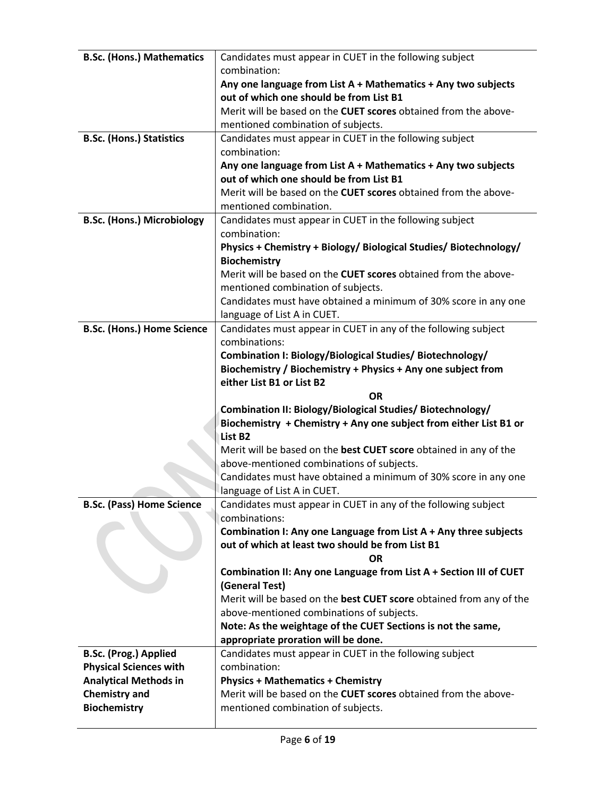| <b>B.Sc. (Hons.) Mathematics</b>            | Candidates must appear in CUET in the following subject                                                              |
|---------------------------------------------|----------------------------------------------------------------------------------------------------------------------|
|                                             | combination:                                                                                                         |
|                                             | Any one language from List A + Mathematics + Any two subjects                                                        |
|                                             | out of which one should be from List B1                                                                              |
|                                             | Merit will be based on the CUET scores obtained from the above-                                                      |
|                                             | mentioned combination of subjects.                                                                                   |
| <b>B.Sc. (Hons.) Statistics</b>             | Candidates must appear in CUET in the following subject                                                              |
|                                             | combination:                                                                                                         |
|                                             | Any one language from List A + Mathematics + Any two subjects                                                        |
|                                             | out of which one should be from List B1                                                                              |
|                                             | Merit will be based on the CUET scores obtained from the above-                                                      |
|                                             | mentioned combination.                                                                                               |
| <b>B.Sc. (Hons.) Microbiology</b>           | Candidates must appear in CUET in the following subject                                                              |
|                                             | combination:                                                                                                         |
|                                             | Physics + Chemistry + Biology/ Biological Studies/ Biotechnology/                                                    |
|                                             | <b>Biochemistry</b>                                                                                                  |
|                                             | Merit will be based on the CUET scores obtained from the above-                                                      |
|                                             | mentioned combination of subjects.                                                                                   |
|                                             | Candidates must have obtained a minimum of 30% score in any one                                                      |
|                                             | language of List A in CUET.                                                                                          |
| <b>B.Sc. (Hons.) Home Science</b>           | Candidates must appear in CUET in any of the following subject                                                       |
|                                             | combinations:                                                                                                        |
|                                             | Combination I: Biology/Biological Studies/ Biotechnology/                                                            |
|                                             | Biochemistry / Biochemistry + Physics + Any one subject from                                                         |
|                                             | either List B1 or List B2                                                                                            |
|                                             |                                                                                                                      |
|                                             | <b>OR</b>                                                                                                            |
|                                             |                                                                                                                      |
|                                             | Combination II: Biology/Biological Studies/ Biotechnology/                                                           |
|                                             | Biochemistry + Chemistry + Any one subject from either List B1 or<br>List B <sub>2</sub>                             |
|                                             |                                                                                                                      |
|                                             | Merit will be based on the best CUET score obtained in any of the                                                    |
|                                             | above-mentioned combinations of subjects.                                                                            |
|                                             | Candidates must have obtained a minimum of 30% score in any one                                                      |
|                                             | language of List A in CUET.                                                                                          |
| <b>B.Sc. (Pass) Home Science</b>            | Candidates must appear in CUET in any of the following subject                                                       |
|                                             | combinations:                                                                                                        |
|                                             | Combination I: Any one Language from List A + Any three subjects<br>out of which at least two should be from List B1 |
|                                             | <b>OR</b>                                                                                                            |
|                                             |                                                                                                                      |
|                                             | Combination II: Any one Language from List A + Section III of CUET                                                   |
|                                             | (General Test)                                                                                                       |
|                                             | Merit will be based on the best CUET score obtained from any of the                                                  |
|                                             | above-mentioned combinations of subjects.                                                                            |
|                                             | Note: As the weightage of the CUET Sections is not the same,                                                         |
|                                             | appropriate proration will be done.                                                                                  |
| <b>B.Sc. (Prog.) Applied</b>                | Candidates must appear in CUET in the following subject                                                              |
| <b>Physical Sciences with</b>               | combination:                                                                                                         |
| <b>Analytical Methods in</b>                | <b>Physics + Mathematics + Chemistry</b>                                                                             |
| <b>Chemistry and</b><br><b>Biochemistry</b> | Merit will be based on the CUET scores obtained from the above-<br>mentioned combination of subjects.                |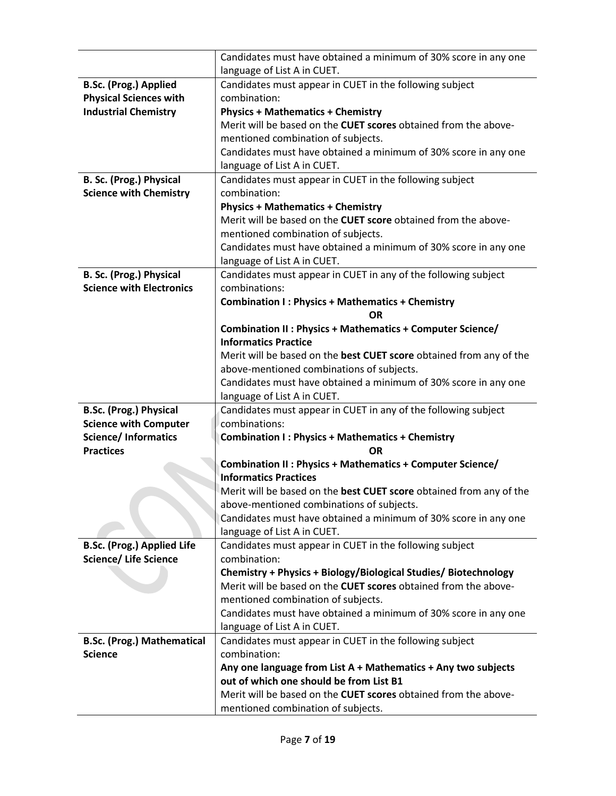|                                                     | Candidates must have obtained a minimum of 30% score in any one                                       |
|-----------------------------------------------------|-------------------------------------------------------------------------------------------------------|
|                                                     | language of List A in CUET.                                                                           |
| <b>B.Sc. (Prog.) Applied</b>                        | Candidates must appear in CUET in the following subject                                               |
| <b>Physical Sciences with</b>                       | combination:                                                                                          |
| <b>Industrial Chemistry</b>                         | <b>Physics + Mathematics + Chemistry</b>                                                              |
|                                                     | Merit will be based on the CUET scores obtained from the above-                                       |
|                                                     | mentioned combination of subjects.                                                                    |
|                                                     | Candidates must have obtained a minimum of 30% score in any one                                       |
|                                                     | language of List A in CUET.                                                                           |
| B. Sc. (Prog.) Physical                             | Candidates must appear in CUET in the following subject                                               |
| <b>Science with Chemistry</b>                       | combination:                                                                                          |
|                                                     | <b>Physics + Mathematics + Chemistry</b>                                                              |
|                                                     | Merit will be based on the CUET score obtained from the above-                                        |
|                                                     | mentioned combination of subjects.                                                                    |
|                                                     | Candidates must have obtained a minimum of 30% score in any one                                       |
|                                                     | language of List A in CUET.                                                                           |
| B. Sc. (Prog.) Physical                             | Candidates must appear in CUET in any of the following subject                                        |
| <b>Science with Electronics</b>                     | combinations:                                                                                         |
|                                                     | <b>Combination I: Physics + Mathematics + Chemistry</b>                                               |
|                                                     | <b>OR</b>                                                                                             |
|                                                     | Combination II : Physics + Mathematics + Computer Science/                                            |
|                                                     | <b>Informatics Practice</b>                                                                           |
|                                                     | Merit will be based on the best CUET score obtained from any of the                                   |
|                                                     | above-mentioned combinations of subjects.                                                             |
|                                                     | Candidates must have obtained a minimum of 30% score in any one                                       |
|                                                     | language of List A in CUET.                                                                           |
| <b>B.Sc. (Prog.) Physical</b>                       | Candidates must appear in CUET in any of the following subject                                        |
| <b>Science with Computer</b>                        | combinations:                                                                                         |
| <b>Science/Informatics</b>                          | <b>Combination I: Physics + Mathematics + Chemistry</b>                                               |
| <b>Practices</b>                                    | <b>OR</b>                                                                                             |
|                                                     | Combination II : Physics + Mathematics + Computer Science/                                            |
|                                                     | <b>Informatics Practices</b>                                                                          |
|                                                     | Merit will be based on the best CUET score obtained from any of the                                   |
|                                                     | above-mentioned combinations of subjects.                                                             |
|                                                     | Candidates must have obtained a minimum of 30% score in any one                                       |
|                                                     | language of List A in CUET.                                                                           |
| <b>B.Sc. (Prog.) Applied Life</b>                   | Candidates must appear in CUET in the following subject                                               |
| <b>Science/ Life Science</b>                        | combination:                                                                                          |
|                                                     | Chemistry + Physics + Biology/Biological Studies/ Biotechnology                                       |
|                                                     | Merit will be based on the CUET scores obtained from the above-                                       |
|                                                     |                                                                                                       |
|                                                     | mentioned combination of subjects.                                                                    |
|                                                     | Candidates must have obtained a minimum of 30% score in any one                                       |
|                                                     | language of List A in CUET.                                                                           |
|                                                     | Candidates must appear in CUET in the following subject                                               |
|                                                     | combination:                                                                                          |
| <b>B.Sc. (Prog.) Mathematical</b><br><b>Science</b> | Any one language from List A + Mathematics + Any two subjects                                         |
|                                                     | out of which one should be from List B1                                                               |
|                                                     | Merit will be based on the CUET scores obtained from the above-<br>mentioned combination of subjects. |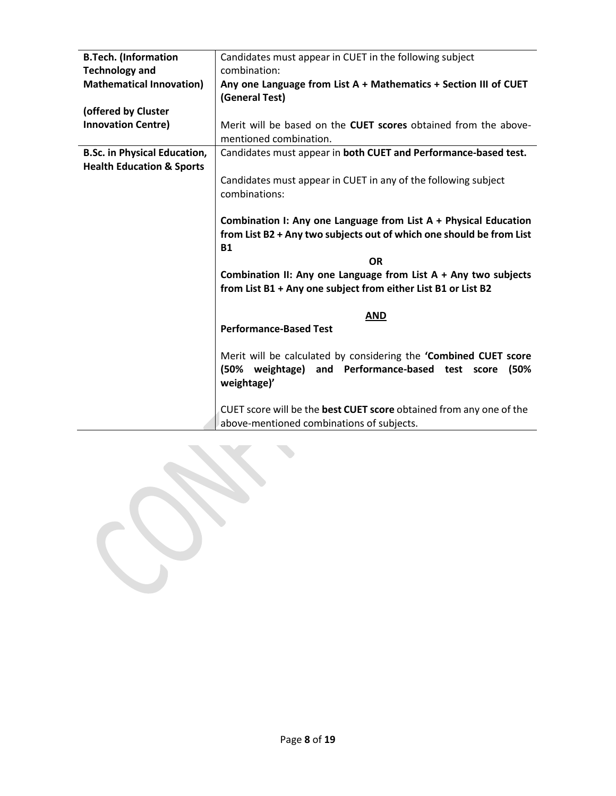| <b>B.Tech.</b> (Information          | Candidates must appear in CUET in the following subject                                   |
|--------------------------------------|-------------------------------------------------------------------------------------------|
| <b>Technology and</b>                | combination:                                                                              |
| <b>Mathematical Innovation)</b>      | Any one Language from List A + Mathematics + Section III of CUET<br>(General Test)        |
| (offered by Cluster                  |                                                                                           |
|                                      |                                                                                           |
| <b>Innovation Centre)</b>            | Merit will be based on the CUET scores obtained from the above-<br>mentioned combination. |
| <b>B.Sc. in Physical Education,</b>  | Candidates must appear in both CUET and Performance-based test.                           |
| <b>Health Education &amp; Sports</b> |                                                                                           |
|                                      |                                                                                           |
|                                      | Candidates must appear in CUET in any of the following subject                            |
|                                      | combinations:                                                                             |
|                                      |                                                                                           |
|                                      | Combination I: Any one Language from List A + Physical Education                          |
|                                      | from List B2 + Any two subjects out of which one should be from List                      |
|                                      |                                                                                           |
|                                      | <b>B1</b>                                                                                 |
|                                      | <b>OR</b>                                                                                 |
|                                      | Combination II: Any one Language from List $A + Any two subjects$                         |
|                                      | from List B1 + Any one subject from either List B1 or List B2                             |
|                                      |                                                                                           |
|                                      | <b>AND</b>                                                                                |
|                                      | <b>Performance-Based Test</b>                                                             |
|                                      |                                                                                           |
|                                      | Merit will be calculated by considering the 'Combined CUET score                          |
|                                      | weightage) and Performance-based test score<br>(50%<br>(50%                               |
|                                      | weightage)'                                                                               |
|                                      |                                                                                           |
|                                      |                                                                                           |
|                                      | CUET score will be the best CUET score obtained from any one of the                       |
|                                      | above-mentioned combinations of subjects.                                                 |

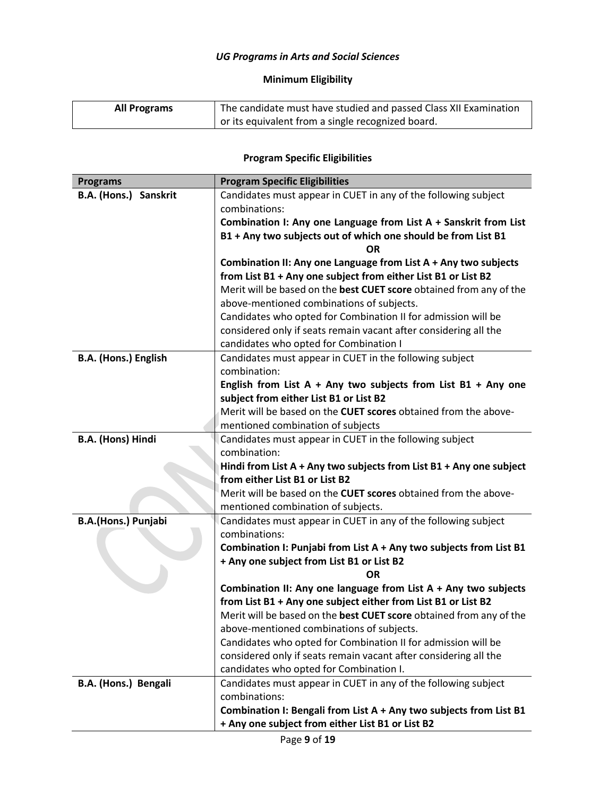# *UG Programs in Arts and Social Sciences*

# **Minimum Eligibility**

| The candidate must have studied and passed Class XII Examination<br><b>All Programs</b> |                                                   |
|-----------------------------------------------------------------------------------------|---------------------------------------------------|
|                                                                                         | or its equivalent from a single recognized board. |

# **Program Specific Eligibilities**

| <b>Programs</b>       | <b>Program Specific Eligibilities</b>                                           |
|-----------------------|---------------------------------------------------------------------------------|
| B.A. (Hons.) Sanskrit | Candidates must appear in CUET in any of the following subject                  |
|                       | combinations:                                                                   |
|                       | Combination I: Any one Language from List A + Sanskrit from List                |
|                       | B1 + Any two subjects out of which one should be from List B1                   |
|                       | ΩR                                                                              |
|                       | Combination II: Any one Language from List A + Any two subjects                 |
|                       | from List B1 + Any one subject from either List B1 or List B2                   |
|                       | Merit will be based on the best CUET score obtained from any of the             |
|                       | above-mentioned combinations of subjects.                                       |
|                       | Candidates who opted for Combination II for admission will be                   |
|                       | considered only if seats remain vacant after considering all the                |
|                       | candidates who opted for Combination I                                          |
| B.A. (Hons.) English  | Candidates must appear in CUET in the following subject<br>combination:         |
|                       | English from List A + Any two subjects from List B1 + Any one                   |
|                       | subject from either List B1 or List B2                                          |
|                       | Merit will be based on the <b>CUET scores</b> obtained from the above-          |
|                       | mentioned combination of subjects                                               |
| B.A. (Hons) Hindi     | Candidates must appear in CUET in the following subject                         |
|                       | combination:                                                                    |
|                       | Hindi from List $A + Any two subjects from List B1 + Any one subject$           |
|                       | from either List B1 or List B2                                                  |
|                       | Merit will be based on the <b>CUET scores</b> obtained from the above-          |
|                       | mentioned combination of subjects.                                              |
| B.A.(Hons.) Punjabi   | Candidates must appear in CUET in any of the following subject                  |
|                       | combinations:                                                                   |
|                       | Combination I: Punjabi from List A + Any two subjects from List B1              |
|                       | + Any one subject from List B1 or List B2                                       |
|                       | ΟR                                                                              |
|                       | Combination II: Any one language from List $A + Any two subjects$               |
|                       | from List B1 + Any one subject either from List B1 or List B2                   |
|                       | Merit will be based on the best CUET score obtained from any of the             |
|                       | above-mentioned combinations of subjects.                                       |
|                       | Candidates who opted for Combination II for admission will be                   |
|                       | considered only if seats remain vacant after considering all the                |
| B.A. (Hons.) Bengali  | candidates who opted for Combination I.                                         |
|                       | Candidates must appear in CUET in any of the following subject<br>combinations: |
|                       | Combination I: Bengali from List A + Any two subjects from List B1              |
|                       | + Any one subject from either List B1 or List B2                                |
|                       |                                                                                 |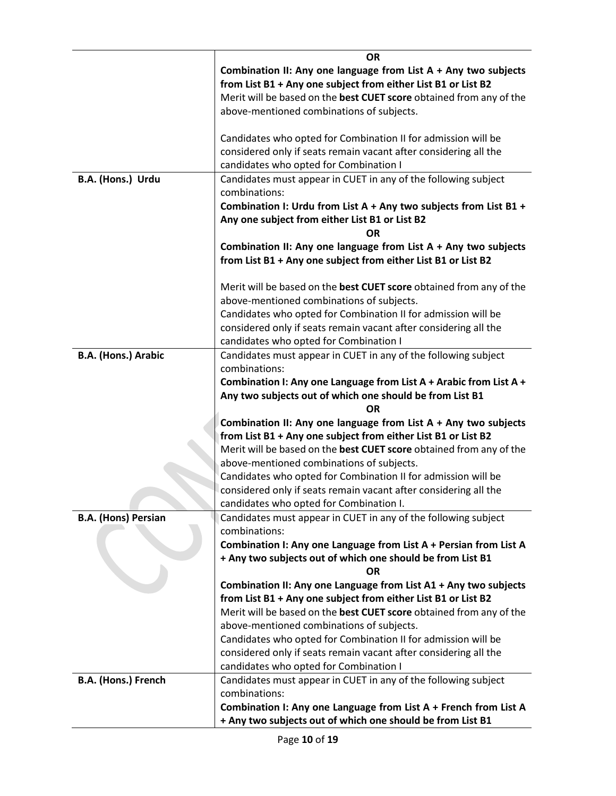|                            | <b>OR</b>                                                                       |
|----------------------------|---------------------------------------------------------------------------------|
|                            |                                                                                 |
|                            | Combination II: Any one language from List $A + Any two subjects$               |
|                            | from List B1 + Any one subject from either List B1 or List B2                   |
|                            | Merit will be based on the best CUET score obtained from any of the             |
|                            | above-mentioned combinations of subjects.                                       |
|                            | Candidates who opted for Combination II for admission will be                   |
|                            | considered only if seats remain vacant after considering all the                |
|                            | candidates who opted for Combination I                                          |
| B.A. (Hons.) Urdu          | Candidates must appear in CUET in any of the following subject                  |
|                            | combinations:                                                                   |
|                            | Combination I: Urdu from List A + Any two subjects from List B1 +               |
|                            | Any one subject from either List B1 or List B2                                  |
|                            | ΟR                                                                              |
|                            |                                                                                 |
|                            | Combination II: Any one language from List $A + Any two subjects$               |
|                            | from List B1 + Any one subject from either List B1 or List B2                   |
|                            | Merit will be based on the best CUET score obtained from any of the             |
|                            | above-mentioned combinations of subjects.                                       |
|                            | Candidates who opted for Combination II for admission will be                   |
|                            | considered only if seats remain vacant after considering all the                |
|                            | candidates who opted for Combination I                                          |
| B.A. (Hons.) Arabic        | Candidates must appear in CUET in any of the following subject                  |
|                            | combinations:                                                                   |
|                            | Combination I: Any one Language from List A + Arabic from List A +              |
|                            | Any two subjects out of which one should be from List B1                        |
|                            | <b>OR</b>                                                                       |
|                            | Combination II: Any one language from List $A + Any two subjects$               |
|                            | from List B1 + Any one subject from either List B1 or List B2                   |
|                            | Merit will be based on the best CUET score obtained from any of the             |
|                            | above-mentioned combinations of subjects.                                       |
|                            | Candidates who opted for Combination II for admission will be                   |
|                            | considered only if seats remain vacant after considering all the                |
|                            | candidates who opted for Combination I.                                         |
| <b>B.A.</b> (Hons) Persian | Candidates must appear in CUET in any of the following subject                  |
|                            | combinations:                                                                   |
|                            | Combination I: Any one Language from List A + Persian from List A               |
|                            | + Any two subjects out of which one should be from List B1                      |
|                            | <b>OR</b>                                                                       |
|                            | Combination II: Any one Language from List A1 + Any two subjects                |
|                            | from List B1 + Any one subject from either List B1 or List B2                   |
|                            | Merit will be based on the best CUET score obtained from any of the             |
|                            | above-mentioned combinations of subjects.                                       |
|                            | Candidates who opted for Combination II for admission will be                   |
|                            | considered only if seats remain vacant after considering all the                |
|                            | candidates who opted for Combination I                                          |
|                            |                                                                                 |
| B.A. (Hons.) French        | Candidates must appear in CUET in any of the following subject<br>combinations: |
|                            | Combination I: Any one Language from List A + French from List A                |
|                            | + Any two subjects out of which one should be from List B1                      |
|                            |                                                                                 |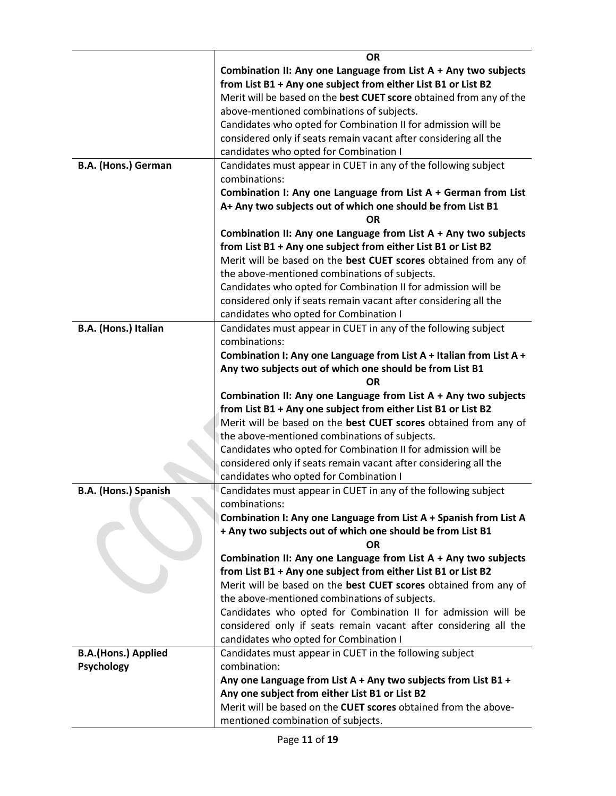|                             | <b>OR</b>                                                                                                                         |
|-----------------------------|-----------------------------------------------------------------------------------------------------------------------------------|
|                             | Combination II: Any one Language from List A + Any two subjects                                                                   |
|                             | from List B1 + Any one subject from either List B1 or List B2                                                                     |
|                             | Merit will be based on the best CUET score obtained from any of the                                                               |
|                             | above-mentioned combinations of subjects.                                                                                         |
|                             | Candidates who opted for Combination II for admission will be                                                                     |
|                             | considered only if seats remain vacant after considering all the                                                                  |
|                             | candidates who opted for Combination I                                                                                            |
| <b>B.A. (Hons.) German</b>  | Candidates must appear in CUET in any of the following subject                                                                    |
|                             | combinations:                                                                                                                     |
|                             | Combination I: Any one Language from List A + German from List                                                                    |
|                             | A+ Any two subjects out of which one should be from List B1                                                                       |
|                             | OR                                                                                                                                |
|                             | Combination II: Any one Language from List $A + Any two subjects$                                                                 |
|                             | from List B1 + Any one subject from either List B1 or List B2                                                                     |
|                             | Merit will be based on the best CUET scores obtained from any of                                                                  |
|                             | the above-mentioned combinations of subjects.                                                                                     |
|                             | Candidates who opted for Combination II for admission will be                                                                     |
|                             | considered only if seats remain vacant after considering all the                                                                  |
|                             | candidates who opted for Combination I                                                                                            |
| B.A. (Hons.) Italian        | Candidates must appear in CUET in any of the following subject                                                                    |
|                             | combinations:                                                                                                                     |
|                             | Combination I: Any one Language from List A + Italian from List A +                                                               |
|                             | Any two subjects out of which one should be from List B1                                                                          |
|                             | ΟR                                                                                                                                |
|                             |                                                                                                                                   |
|                             |                                                                                                                                   |
|                             | Combination II: Any one Language from List $A + Any two subjects$                                                                 |
|                             | from List B1 + Any one subject from either List B1 or List B2                                                                     |
|                             | Merit will be based on the best CUET scores obtained from any of                                                                  |
|                             | the above-mentioned combinations of subjects.                                                                                     |
|                             | Candidates who opted for Combination II for admission will be                                                                     |
|                             | considered only if seats remain vacant after considering all the                                                                  |
|                             | candidates who opted for Combination I                                                                                            |
| <b>B.A. (Hons.) Spanish</b> | Candidates must appear in CUET in any of the following subject                                                                    |
|                             | combinations:                                                                                                                     |
|                             | Combination I: Any one Language from List A + Spanish from List A                                                                 |
|                             | + Any two subjects out of which one should be from List B1<br>ΟR                                                                  |
|                             | Combination II: Any one Language from List A + Any two subjects                                                                   |
|                             |                                                                                                                                   |
|                             | from List B1 + Any one subject from either List B1 or List B2<br>Merit will be based on the best CUET scores obtained from any of |
|                             | the above-mentioned combinations of subjects.                                                                                     |
|                             |                                                                                                                                   |
|                             | Candidates who opted for Combination II for admission will be<br>considered only if seats remain vacant after considering all the |
|                             | candidates who opted for Combination I                                                                                            |
| <b>B.A.(Hons.) Applied</b>  | Candidates must appear in CUET in the following subject                                                                           |
| <b>Psychology</b>           | combination:                                                                                                                      |
|                             | Any one Language from List A + Any two subjects from List B1 +                                                                    |
|                             | Any one subject from either List B1 or List B2                                                                                    |
|                             | Merit will be based on the CUET scores obtained from the above-                                                                   |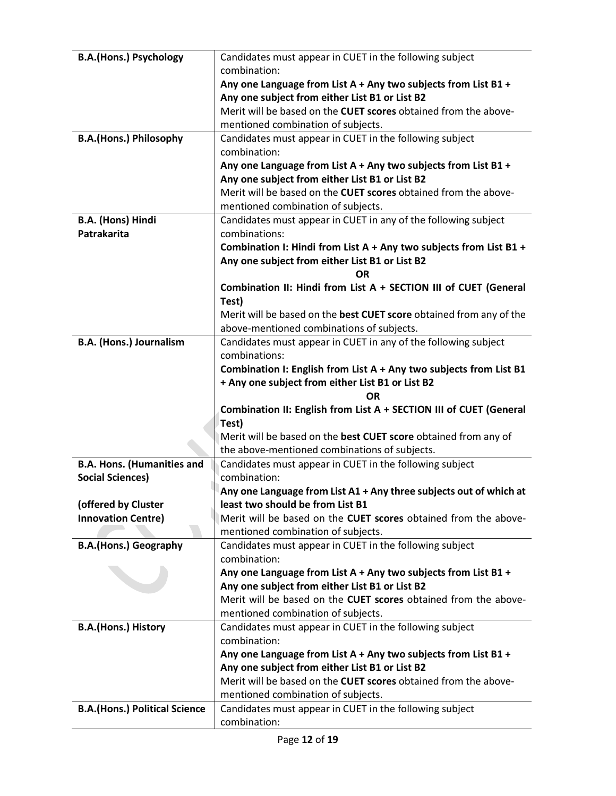| <b>B.A.(Hons.) Psychology</b>        | Candidates must appear in CUET in the following subject                                       |
|--------------------------------------|-----------------------------------------------------------------------------------------------|
|                                      | combination:                                                                                  |
|                                      | Any one Language from List A + Any two subjects from List B1 +                                |
|                                      | Any one subject from either List B1 or List B2                                                |
|                                      | Merit will be based on the CUET scores obtained from the above-                               |
|                                      | mentioned combination of subjects.                                                            |
| <b>B.A.(Hons.) Philosophy</b>        | Candidates must appear in CUET in the following subject                                       |
|                                      | combination:                                                                                  |
|                                      | Any one Language from List A + Any two subjects from List B1 +                                |
|                                      | Any one subject from either List B1 or List B2                                                |
|                                      | Merit will be based on the <b>CUET scores</b> obtained from the above-                        |
|                                      | mentioned combination of subjects.                                                            |
| B.A. (Hons) Hindi                    | Candidates must appear in CUET in any of the following subject                                |
| Patrakarita                          | combinations:                                                                                 |
|                                      | Combination I: Hindi from List A + Any two subjects from List B1 +                            |
|                                      | Any one subject from either List B1 or List B2                                                |
|                                      | <b>OR</b>                                                                                     |
|                                      | Combination II: Hindi from List A + SECTION III of CUET (General                              |
|                                      | Test)                                                                                         |
|                                      | Merit will be based on the best CUET score obtained from any of the                           |
|                                      | above-mentioned combinations of subjects.                                                     |
| <b>B.A. (Hons.) Journalism</b>       | Candidates must appear in CUET in any of the following subject                                |
|                                      | combinations:                                                                                 |
|                                      | Combination I: English from List A + Any two subjects from List B1                            |
|                                      | + Any one subject from either List B1 or List B2                                              |
|                                      |                                                                                               |
|                                      | <b>OR</b>                                                                                     |
|                                      | Combination II: English from List A + SECTION III of CUET (General                            |
|                                      | Test)                                                                                         |
|                                      | Merit will be based on the best CUET score obtained from any of                               |
|                                      | the above-mentioned combinations of subjects.                                                 |
| <b>B.A. Hons. (Humanities and</b>    | Candidates must appear in CUET in the following subject                                       |
| <b>Social Sciences)</b>              | combination:                                                                                  |
|                                      | Any one Language from List A1 + Any three subjects out of which at                            |
| (offered by Cluster                  | least two should be from List B1                                                              |
| <b>Innovation Centre)</b>            | Merit will be based on the CUET scores obtained from the above-                               |
|                                      | mentioned combination of subjects.                                                            |
| <b>B.A.(Hons.) Geography</b>         | Candidates must appear in CUET in the following subject                                       |
|                                      | combination:                                                                                  |
|                                      | Any one Language from List A + Any two subjects from List B1 +                                |
|                                      | Any one subject from either List B1 or List B2                                                |
|                                      | Merit will be based on the CUET scores obtained from the above-                               |
|                                      | mentioned combination of subjects.                                                            |
| <b>B.A.(Hons.) History</b>           | Candidates must appear in CUET in the following subject                                       |
|                                      | combination:                                                                                  |
|                                      | Any one Language from List A + Any two subjects from List B1 +                                |
|                                      | Any one subject from either List B1 or List B2                                                |
|                                      | Merit will be based on the <b>CUET scores</b> obtained from the above-                        |
| <b>B.A.(Hons.) Political Science</b> | mentioned combination of subjects.<br>Candidates must appear in CUET in the following subject |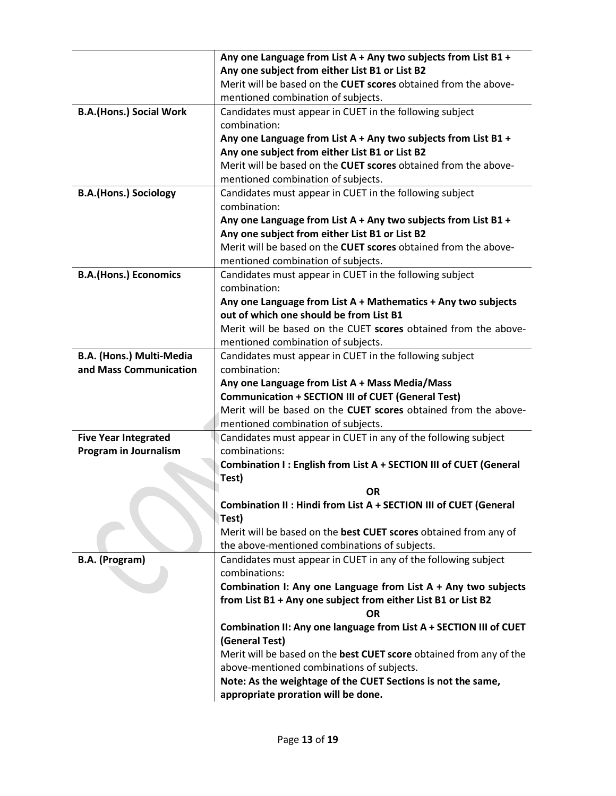|                                | Any one Language from List A + Any two subjects from List B1 +                                      |
|--------------------------------|-----------------------------------------------------------------------------------------------------|
|                                | Any one subject from either List B1 or List B2                                                      |
|                                | Merit will be based on the <b>CUET scores</b> obtained from the above-                              |
|                                | mentioned combination of subjects.                                                                  |
| <b>B.A.(Hons.) Social Work</b> | Candidates must appear in CUET in the following subject                                             |
|                                | combination:                                                                                        |
|                                | Any one Language from List A + Any two subjects from List B1 +                                      |
|                                | Any one subject from either List B1 or List B2                                                      |
|                                | Merit will be based on the <b>CUET scores</b> obtained from the above-                              |
|                                | mentioned combination of subjects.                                                                  |
| <b>B.A.(Hons.) Sociology</b>   | Candidates must appear in CUET in the following subject                                             |
|                                | combination:                                                                                        |
|                                | Any one Language from List A + Any two subjects from List B1 +                                      |
|                                | Any one subject from either List B1 or List B2                                                      |
|                                | Merit will be based on the CUET scores obtained from the above-                                     |
|                                | mentioned combination of subjects.                                                                  |
| <b>B.A.(Hons.) Economics</b>   | Candidates must appear in CUET in the following subject                                             |
|                                | combination:                                                                                        |
|                                | Any one Language from List $A + Mathematics + Any two subjects$                                     |
|                                | out of which one should be from List B1                                                             |
|                                | Merit will be based on the CUET scores obtained from the above-                                     |
|                                | mentioned combination of subjects.                                                                  |
| B.A. (Hons.) Multi-Media       | Candidates must appear in CUET in the following subject                                             |
| and Mass Communication         | combination:                                                                                        |
|                                | Any one Language from List A + Mass Media/Mass                                                      |
|                                | <b>Communication + SECTION III of CUET (General Test)</b>                                           |
|                                | Merit will be based on the CUET scores obtained from the above-                                     |
|                                | mentioned combination of subjects.                                                                  |
| <b>Five Year Integrated</b>    | Candidates must appear in CUET in any of the following subject                                      |
| <b>Program in Journalism</b>   | combinations:                                                                                       |
|                                | Combination I: English from List A + SECTION III of CUET (General                                   |
|                                | Test)                                                                                               |
|                                | <b>OR</b>                                                                                           |
|                                | Combination II : Hindi from List A + SECTION III of CUET (General                                   |
|                                | Test)                                                                                               |
|                                | Merit will be based on the best CUET scores obtained from any of                                    |
|                                | the above-mentioned combinations of subjects.                                                       |
| B.A. (Program)                 | Candidates must appear in CUET in any of the following subject<br>combinations:                     |
|                                | Combination I: Any one Language from List $A + Any two subjects$                                    |
|                                | from List B1 + Any one subject from either List B1 or List B2                                       |
|                                | ΟR                                                                                                  |
|                                |                                                                                                     |
|                                | Combination II: Any one language from List A + SECTION III of CUET<br>(General Test)                |
|                                | Merit will be based on the best CUET score obtained from any of the                                 |
|                                | above-mentioned combinations of subjects.                                                           |
|                                |                                                                                                     |
|                                |                                                                                                     |
|                                | Note: As the weightage of the CUET Sections is not the same,<br>appropriate proration will be done. |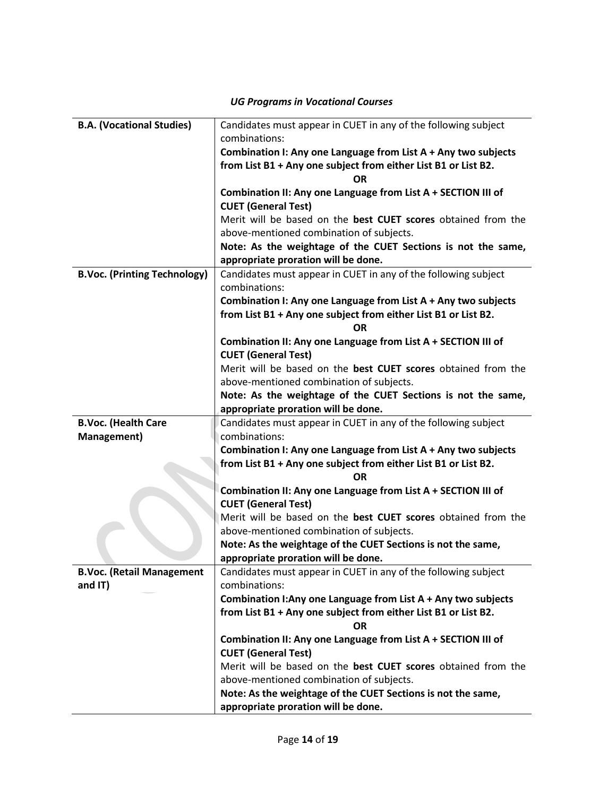| <b>B.A. (Vocational Studies)</b>    | Candidates must appear in CUET in any of the following subject                              |
|-------------------------------------|---------------------------------------------------------------------------------------------|
|                                     | combinations:                                                                               |
|                                     | Combination I: Any one Language from List A + Any two subjects                              |
|                                     | from List B1 + Any one subject from either List B1 or List B2.                              |
|                                     | <b>OR</b>                                                                                   |
|                                     | Combination II: Any one Language from List A + SECTION III of                               |
|                                     | <b>CUET (General Test)</b>                                                                  |
|                                     | Merit will be based on the best CUET scores obtained from the                               |
|                                     | above-mentioned combination of subjects.                                                    |
|                                     | Note: As the weightage of the CUET Sections is not the same,                                |
|                                     | appropriate proration will be done.                                                         |
| <b>B.Voc. (Printing Technology)</b> | Candidates must appear in CUET in any of the following subject                              |
|                                     | combinations:                                                                               |
|                                     | Combination I: Any one Language from List A + Any two subjects                              |
|                                     | from List B1 + Any one subject from either List B1 or List B2.                              |
|                                     | OR                                                                                          |
|                                     | Combination II: Any one Language from List A + SECTION III of                               |
|                                     | <b>CUET (General Test)</b>                                                                  |
|                                     | Merit will be based on the best CUET scores obtained from the                               |
|                                     | above-mentioned combination of subjects.                                                    |
|                                     | Note: As the weightage of the CUET Sections is not the same,                                |
|                                     | appropriate proration will be done.                                                         |
| <b>B.Voc. (Health Care</b>          | Candidates must appear in CUET in any of the following subject                              |
| Management)                         | combinations:                                                                               |
|                                     | Combination I: Any one Language from List A + Any two subjects                              |
|                                     | from List B1 + Any one subject from either List B1 or List B2.                              |
|                                     | <b>OR</b>                                                                                   |
|                                     | Combination II: Any one Language from List A + SECTION III of<br><b>CUET (General Test)</b> |
|                                     | Merit will be based on the best CUET scores obtained from the                               |
|                                     | above-mentioned combination of subjects.                                                    |
|                                     | Note: As the weightage of the CUET Sections is not the same,                                |
|                                     | appropriate proration will be done.                                                         |
| <b>B.Voc. (Retail Management</b>    | Candidates must appear in CUET in any of the following subject                              |
| and IT)                             | combinations:                                                                               |
|                                     | Combination I: Any one Language from List A + Any two subjects                              |
|                                     | from List B1 + Any one subject from either List B1 or List B2.                              |
|                                     | <b>OR</b>                                                                                   |
|                                     | Combination II: Any one Language from List A + SECTION III of                               |
|                                     | <b>CUET (General Test)</b>                                                                  |
|                                     | Merit will be based on the best CUET scores obtained from the                               |
|                                     | above-mentioned combination of subjects.                                                    |
|                                     | Note: As the weightage of the CUET Sections is not the same,                                |
|                                     | appropriate proration will be done.                                                         |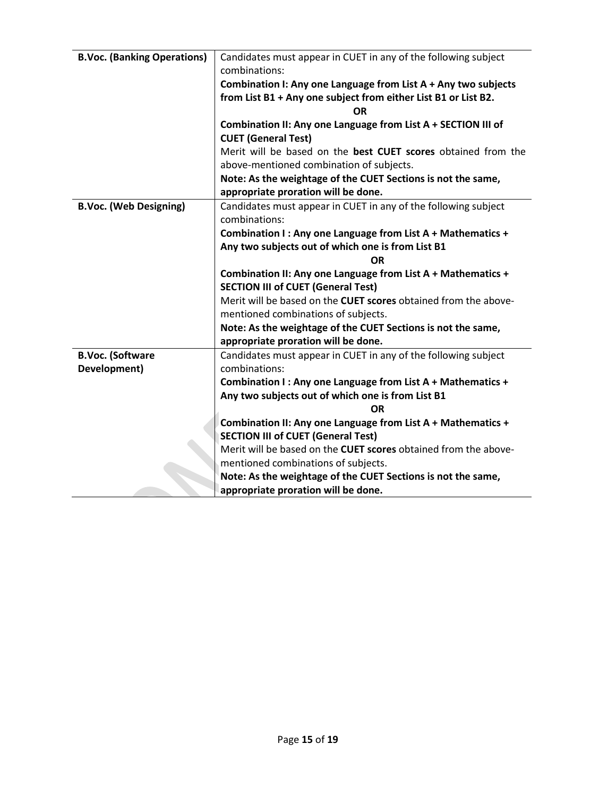| <b>B.Voc. (Banking Operations)</b> | Candidates must appear in CUET in any of the following subject<br>combinations:             |
|------------------------------------|---------------------------------------------------------------------------------------------|
|                                    |                                                                                             |
|                                    | Combination I: Any one Language from List A + Any two subjects                              |
|                                    | from List B1 + Any one subject from either List B1 or List B2.                              |
|                                    | ΩR                                                                                          |
|                                    | Combination II: Any one Language from List A + SECTION III of<br><b>CUET (General Test)</b> |
|                                    | Merit will be based on the best CUET scores obtained from the                               |
|                                    | above-mentioned combination of subjects.                                                    |
|                                    | Note: As the weightage of the CUET Sections is not the same,                                |
|                                    | appropriate proration will be done.                                                         |
| <b>B.Voc. (Web Designing)</b>      | Candidates must appear in CUET in any of the following subject<br>combinations:             |
|                                    | Combination I: Any one Language from List A + Mathematics +                                 |
|                                    | Any two subjects out of which one is from List B1                                           |
|                                    | <b>OR</b>                                                                                   |
|                                    | Combination II: Any one Language from List A + Mathematics +                                |
|                                    | <b>SECTION III of CUET (General Test)</b>                                                   |
|                                    | Merit will be based on the CUET scores obtained from the above-                             |
|                                    | mentioned combinations of subjects.                                                         |
|                                    | Note: As the weightage of the CUET Sections is not the same,                                |
|                                    | appropriate proration will be done.                                                         |
| <b>B.Voc. (Software</b>            | Candidates must appear in CUET in any of the following subject                              |
| Development)                       | combinations:                                                                               |
|                                    | Combination I: Any one Language from List A + Mathematics +                                 |
|                                    | Any two subjects out of which one is from List B1                                           |
|                                    | <b>OR</b>                                                                                   |
|                                    | Combination II: Any one Language from List A + Mathematics +                                |
|                                    | <b>SECTION III of CUET (General Test)</b>                                                   |
|                                    | Merit will be based on the CUET scores obtained from the above-                             |
|                                    | mentioned combinations of subjects.                                                         |
|                                    | Note: As the weightage of the CUET Sections is not the same,                                |
|                                    |                                                                                             |
|                                    | appropriate proration will be done.                                                         |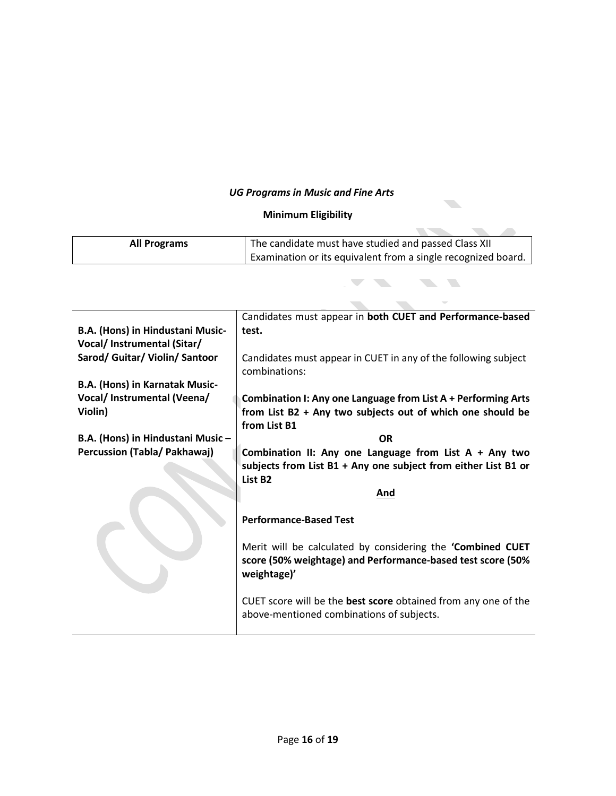### *UG Programs in Music and Fine Arts*

### **Minimum Eligibility**

| <b>All Programs</b>                   | The candidate must have studied and passed Class XII           |
|---------------------------------------|----------------------------------------------------------------|
|                                       | Examination or its equivalent from a single recognized board.  |
|                                       |                                                                |
|                                       |                                                                |
|                                       |                                                                |
|                                       | Candidates must appear in both CUET and Performance-based      |
| B.A. (Hons) in Hindustani Music-      | test.                                                          |
| Vocal/ Instrumental (Sitar/           |                                                                |
| Sarod/ Guitar/ Violin/ Santoor        | Candidates must appear in CUET in any of the following subject |
|                                       | combinations:                                                  |
| <b>B.A. (Hons) in Karnatak Music-</b> |                                                                |
| Vocal/ Instrumental (Veena/           | Combination I: Any one Language from List A + Performing Arts  |
| Violin)                               | from List B2 + Any two subjects out of which one should be     |
|                                       | from List B1                                                   |
|                                       |                                                                |
| B.A. (Hons) in Hindustani Music-      | <b>OR</b>                                                      |
| Percussion (Tabla/ Pakhawaj)          | Combination II: Any one Language from List $A + Any two$       |
|                                       | subjects from List B1 + Any one subject from either List B1 or |
|                                       | List B <sub>2</sub>                                            |
|                                       | And                                                            |
|                                       |                                                                |
|                                       | <b>Performance-Based Test</b>                                  |
|                                       |                                                                |
|                                       | Merit will be calculated by considering the 'Combined CUET     |
|                                       | score (50% weightage) and Performance-based test score (50%    |
|                                       | weightage)'                                                    |
|                                       |                                                                |
|                                       | CUET score will be the best score obtained from any one of the |
|                                       | above-mentioned combinations of subjects.                      |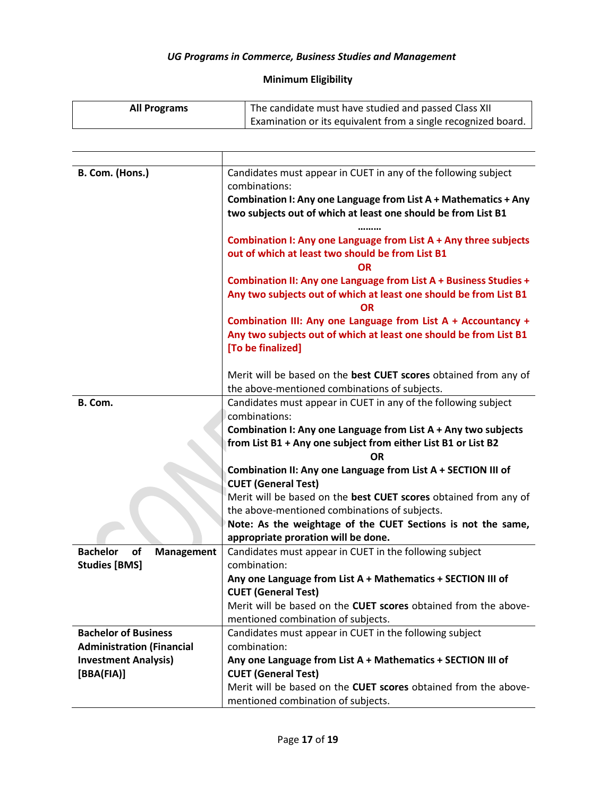### *UG Programs in Commerce, Business Studies and Management*

# **Minimum Eligibility**

| <b>All Programs</b> | The candidate must have studied and passed Class XII          |
|---------------------|---------------------------------------------------------------|
|                     | Examination or its equivalent from a single recognized board. |

| B. Com. (Hons.)                           | Candidates must appear in CUET in any of the following subject                                                                     |
|-------------------------------------------|------------------------------------------------------------------------------------------------------------------------------------|
|                                           | combinations:                                                                                                                      |
|                                           | Combination I: Any one Language from List A + Mathematics + Any                                                                    |
|                                           | two subjects out of which at least one should be from List B1                                                                      |
|                                           |                                                                                                                                    |
|                                           | Combination I: Any one Language from List A + Any three subjects                                                                   |
|                                           | out of which at least two should be from List B1                                                                                   |
|                                           | ΩR                                                                                                                                 |
|                                           | Combination II: Any one Language from List A + Business Studies +                                                                  |
|                                           | Any two subjects out of which at least one should be from List B1                                                                  |
|                                           | <b>OR</b>                                                                                                                          |
|                                           | Combination III: Any one Language from List A + Accountancy +<br>Any two subjects out of which at least one should be from List B1 |
|                                           | [To be finalized]                                                                                                                  |
|                                           |                                                                                                                                    |
|                                           | Merit will be based on the best CUET scores obtained from any of                                                                   |
|                                           | the above-mentioned combinations of subjects.                                                                                      |
| B. Com.                                   | Candidates must appear in CUET in any of the following subject                                                                     |
|                                           | combinations:                                                                                                                      |
|                                           | Combination I: Any one Language from List A + Any two subjects                                                                     |
|                                           | from List B1 + Any one subject from either List B1 or List B2                                                                      |
|                                           | ΟR                                                                                                                                 |
|                                           | Combination II: Any one Language from List A + SECTION III of                                                                      |
|                                           | <b>CUET (General Test)</b>                                                                                                         |
|                                           | Merit will be based on the best CUET scores obtained from any of                                                                   |
|                                           | the above-mentioned combinations of subjects.                                                                                      |
|                                           | Note: As the weightage of the CUET Sections is not the same,                                                                       |
|                                           | appropriate proration will be done.                                                                                                |
| <b>Bachelor</b><br>of<br>Management       | Candidates must appear in CUET in the following subject                                                                            |
| <b>Studies [BMS]</b>                      | combination:                                                                                                                       |
|                                           | Any one Language from List A + Mathematics + SECTION III of                                                                        |
|                                           | <b>CUET (General Test)</b>                                                                                                         |
|                                           | Merit will be based on the CUET scores obtained from the above-                                                                    |
|                                           | mentioned combination of subjects.                                                                                                 |
| <b>Bachelor of Business</b>               | Candidates must appear in CUET in the following subject<br>combination:                                                            |
| <b>Administration (Financial</b>          |                                                                                                                                    |
| <b>Investment Analysis)</b><br>[BBA(FIA)] | Any one Language from List A + Mathematics + SECTION III of<br><b>CUET (General Test)</b>                                          |
|                                           | Merit will be based on the CUET scores obtained from the above-                                                                    |
|                                           | mentioned combination of subjects.                                                                                                 |
|                                           |                                                                                                                                    |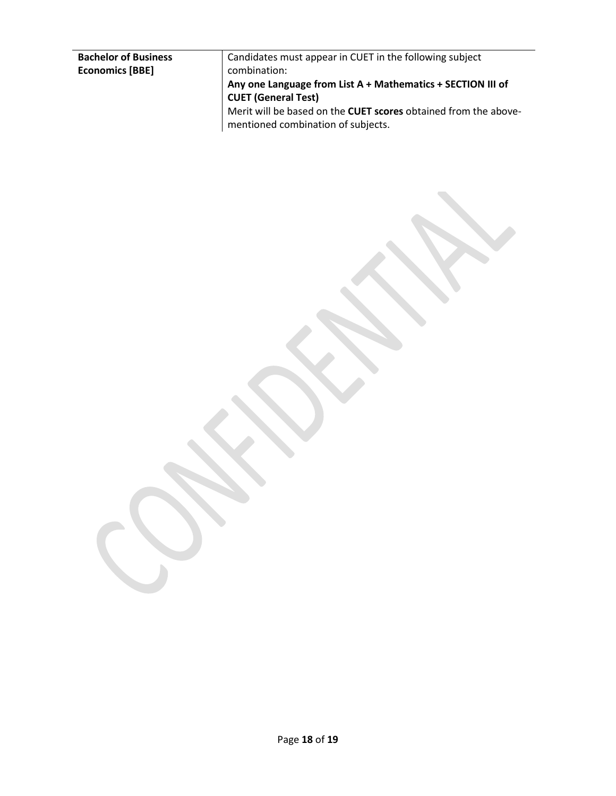| Candidates must appear in CUET in the following subject         |
|-----------------------------------------------------------------|
| combination:                                                    |
| Any one Language from List A + Mathematics + SECTION III of     |
| <b>CUET (General Test)</b>                                      |
| Merit will be based on the CUET scores obtained from the above- |
| mentioned combination of subjects.                              |
|                                                                 |